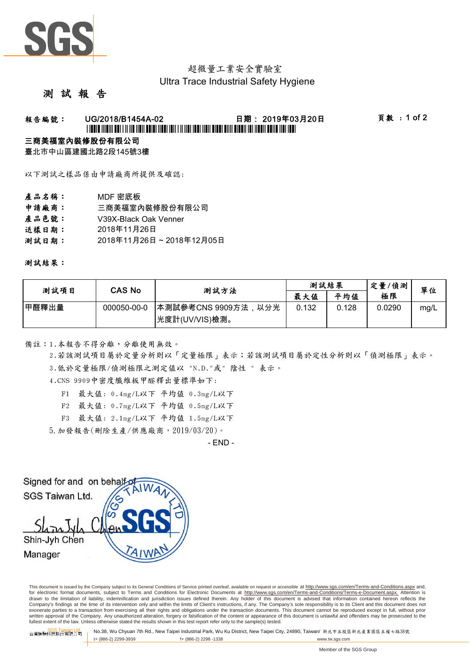

## 超微量工業安全實驗室 Ultra Trace Industrial Safety Hygiene

#### 測 試 報 告

# 報告編號: UG/2018/B1454A-02 日期: 2019年03月20日 頁數 : 1 of 2 \*UG/2018/B1454A-02\*

#### 三商美福室內裝修股份有限公司

臺北市中山區建國北路2段145號3樓

以下測試之樣品係由申請廠商所提供及確認:

- 產品名稱: MDF 密底板
- 申請廠商: 三商美福室內裝修股份有限公司
- 產品色號: V39X-Black Oak Venner
- 送樣日期: 2018年11月26日
- 測試日期: 2018年11月26日 ~ 2018年12月05日

測試結果:

| 测試項目  | CAS No      | 測試方法                                    | 測試結果  |       | 定量/偵測  | 單位   |
|-------|-------------|-----------------------------------------|-------|-------|--------|------|
|       |             |                                         | 最大值   | 平均值   | 極限     |      |
| 甲醛釋出量 | 000050-00-0 | │本測試參考CNS 9909方法,以分光<br> 光度計(UV/VIS)檢測。 | 0.132 | 0.128 | 0.0290 | mg/L |

備註:1.本報告不得分離,分離使用無效。

3.低於定量極限/偵測極限之測定值以 "N.D."或" 陰性 " 表示。 2.若該測試項目屬於定量分析則以「定量極限」表示;若該測試項目屬於定性分析則以「偵測極限」表示。

4.CNS 9909中密度纖維板甲醛釋出量標準如下:

- F1 最大值: 0.4mg/L以下 平均值 0.3mg/L以下
- F2 最大值: 0.7mg/L以下 平均值 0.5mg/L以下
- F3 最大值: 2.1mg/L以下 平均值 1.5mg/L以下
- 5.加發報告(刪除生產/供應廠商,2019/03/20)。

- END -



This document is issued by the Company subject to its General Conditions of Service printed overleaf, available on request or accessible at http://www.sgs.com/en/Terms-and-Conditions.aspx and, for electronic format documents, subject to Terms and Conditions for Electronic Documents at http://www.sgs.com/en/Terms-and-Conditions/Terms-e-Document.aspx. Attention is drawn to the limitation of liability, indemnification and jurisdiction issues defined therein. Any holder of this document is advised that information contained hereon reflects the Company's findings at the time of its intervention only and within the limits of Client's instructions, if any. The Company's sole responsibility is to its Client and this document does not exonerate parties to a transaction from exercising all their rights and obligations under the transaction documents. This document cannot be reproduced except in full, without prior written approval of the Company. Any unauthorized alteration, forgery or falsification of the content or appearance of this document is unlawful and offenders may be prosecuted to the<br>fullest extent of the law. Unless othe

台灣檢驗科技股<mark>公司 No.38, Wu Chyuan 7th Rd., New Taipei Industrial Park, Wu Ku District, New Taipei City, 24890, Taiwan/ 新北市五股區新北產業園區五權七路38號<br>台灣檢驗科技股份有限公司</mark> t+ (886-2) 2299-3939 f+ (886-2) 2298 -1338 www.tw.sgs.com